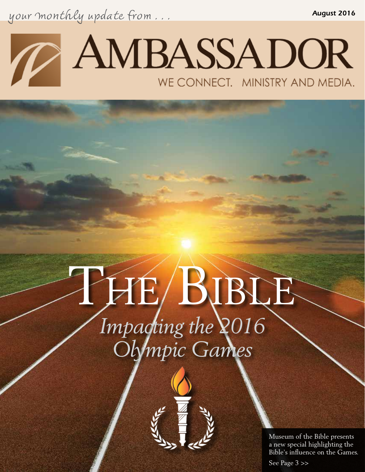your monthly update from . . . *August 2016*



# *Impacting the 2016 Olympic Games* PHE/BIBLE



Museum of the Bible presents a new special highlighting the Bible's influence on the Games.

See Page 3 >>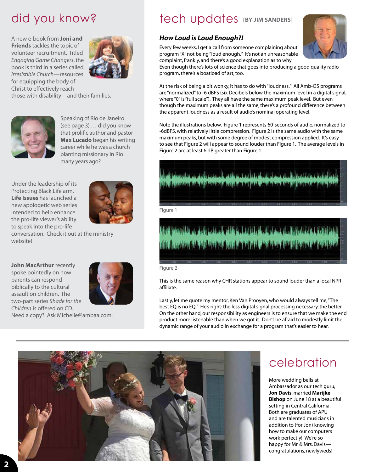A new e-book from **Joni and Friends** tackles the topic of volunteer recruitment. Titled *Engaging Game Changers*, the book is third in a series called *Irresistible Church*—resources for equipping the body of Christ to effectively reach those with disability—and their families.





Speaking of Rio de Janeiro (see page 3) … did you know that prolific author and pastor **Max Lucado** began his writing career while he was a church planting missionary in Rio many years ago?

Under the leadership of its Protecting Black Life arm, **Life Issues** has launched a new apologetic web series intended to help enhance the pro-life viewer's ability to speak into the pro-life



conversation. Check it out at the ministry website!

**John MacArthur** recently **Contract of the Contract of Tigure 2** spoke pointedly on how parents can respond biblically to the cultural assault on children. The two-part series *Shade for the Children* is offered on CD. Need a copy? Ask Michelle@ambaa.com.



did you know? tech updates **[BY JIM SANDERS]** 

#### *How Loud is Loud Enough?!*

Every few weeks, I get a call from someone complaining about program "X" not being "loud enough." It's not an unreasonable complaint, frankly, and there's a good explanation as to why.



Even though there's lots of science that goes into producing a good quality radio program, there's a boatload of art, too.

At the risk of being a bit wonky, it has to do with "loudness." All Amb-OS programs are "normalized" to -6 dBFS (six Decibels below the maximum level in a digital signal, where "0" is "full scale"). They all have the same maximum peak level. But even though the maximum peaks are all the same, there's a profound difference between the apparent loudness as a result of audio's nominal operating level.

Note the illustrations below. Figure 1 represents 60-seconds of audio, normalized to -6dBFS, with relatively little compression. Figure 2 is the same audio with the same maximum peaks, but with some degree of modest compression applied. It's easy to see that Figure 2 will appear to sound louder than Figure 1. The average levels in Figure 2 are at least 6 dB greater than Figure 1.



# **STATISTICS OF A PRETTY OF PROPERTY** of the language of the basic scale and the state of the language of the language of the language of the language of the language of the language of the language of the language of the language of the language of the langua

This is the same reason why CHR stations appear to sound louder than a local NPR affiliate.

Lastly, let me quote my mentor, Ken Van Prooyen, who would always tell me, "The best EQ is no EQ." He's right: the less digital signal processing necessary, the better. On the other hand, our responsibility as engineers is to ensure that we make the end product more listenable than when we got it. Don't be afraid to modestly limit the dynamic range of your audio in exchange for a program that's easier to hear.



# celebration

More wedding bells at Ambassador as our tech guru, **Jon Davis**, married **Marijke Bishop** on June 18 at a beautiful setting in Central California. Both are graduates of APU and are talented musicians in addition to (for Jon) knowing how to make our computers work perfectly! We're so happy for Mr. & Mrs. Davis congratulations, newlyweds!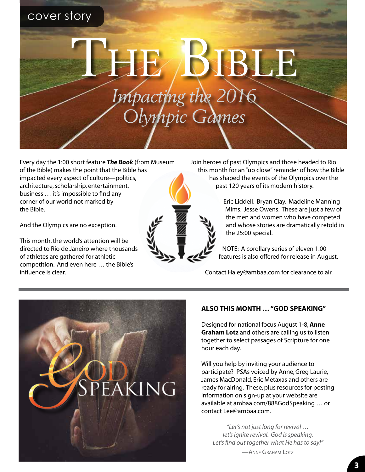## cover story

*Impacting the 2016 Olympic Games* THE BIBLE

Every day the 1:00 short feature *The Book* (from Museum of the Bible) makes the point that the Bible has impacted every aspect of culture—politics, architecture, scholarship, entertainment, business … it's impossible to find any corner of our world not marked by the Bible.

And the Olympics are no exception.

This month, the world's attention will be directed to Rio de Janeiro where thousands of athletes are gathered for athletic competition. And even here … the Bible's influence is clear.

Join heroes of past Olympics and those headed to Rio this month for an "up close" reminder of how the Bible has shaped the events of the Olympics over the past 120 years of its modern history.

> Eric Liddell. Bryan Clay. Madeline Manning Mims. Jesse Owens. These are just a few of the men and women who have competed and whose stories are dramatically retold in the 25:00 special.

NOTE: A corollary series of eleven 1:00 features is also offered for release in August.

Contact Haley@ambaa.com for clearance to air.



#### **ALSO THIS MONTH … "GOD SPEAKING"**

Designed for national focus August 1-8, **Anne Graham Lotz** and others are calling us to listen together to select passages of Scripture for one hour each day.

Will you help by inviting your audience to participate? PSAs voiced by Anne, Greg Laurie, James MacDonald, Eric Metaxas and others are ready for airing. These, plus resources for posting information on sign-up at your website are available at ambaa.com/888GodSpeaking … or contact Lee@ambaa.com.

*"Let's not just long for revival … let's ignite revival. God is speaking. Let's find out together what He has to say!"* —Anne Graham Lotz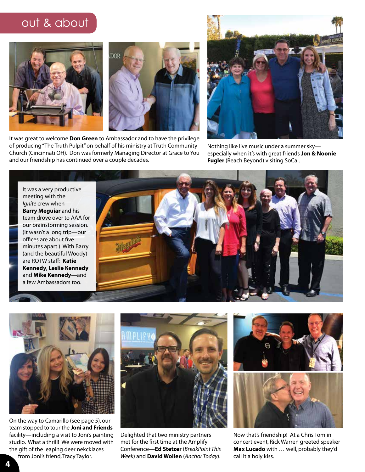## out & about





It was great to welcome **Don Green** to Ambassador and to have the privilege of producing "The Truth Pulpit" on behalf of his ministry at Truth Community Church (Cincinnati OH). Don was formerly Managing Director at Grace to You and our friendship has continued over a couple decades.



Nothing like live music under a summer sky especially when it's with great friends **Jon & Noonie Fugler** (Reach Beyond) visiting SoCal.

It was a very productive meeting with the *Ignite* crew when **Barry Meguiar** and his team drove over to AAA for our brainstorming session. (It wasn't a long trip—our offices are about five minutes apart.) With Barry (and the beautiful Woody) are ROTW staff: **Katie Kennedy**, **Leslie Kennedy**  and **Mike Kennedy**—and a few Ambassadors too.





On the way to Camarillo (see page 5), our team stopped to tour the **Joni and Friends**  facility—including a visit to Joni's painting studio. What a thrill! We were moved with the gift of the leaping deer nekcklaces from Joni's friend, Tracy Taylor.



Delighted that two ministry partners met for the first time at the Amplify Conference—**Ed Stetzer** (*BreakPoint This Week*) and **David Wollen** (*Anchor Today*).





Now that's friendship! At a Chris Tomlin concert event, Rick Warren greeted speaker **Max Lucado** with … well, probably they'd call it a holy kiss.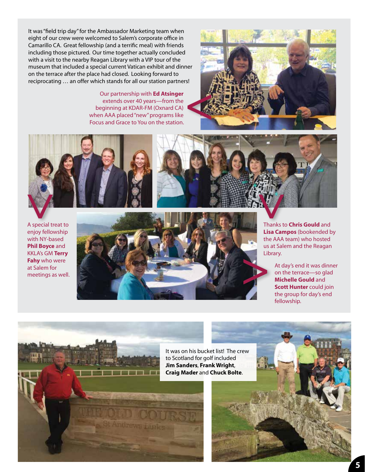It was "field trip day" for the Ambassador Marketing team when eight of our crew were welcomed to Salem's corporate office in Camarillo CA. Great fellowship (and a terrific meal) with friends including those pictured. Our time together actually concluded with a visit to the nearby Reagan Library with a VIP tour of the museum that included a special current Vatican exhibit and dinner on the terrace after the place had closed. Looking forward to reciprocating … an offer which stands for all our station partners!

> Our partnership with **Ed Atsinger**  extends over 40 years—from the beginning at KDAR-FM (Oxnard CA) when AAA placed "new" programs like Focus and Grace to You on the station.









Thanks to **Chris Gould** and **Lisa Campos** (bookended by the AAA team) who hosted us at Salem and the Reagan Library.

> At day's end it was dinner on the terrace—so glad **Michelle Gould** and **Scott Hunter** could join the group for day's end fellowship.

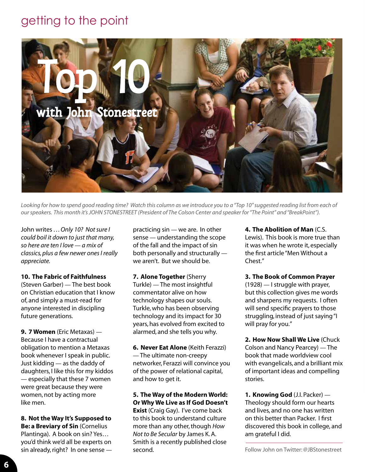# getting to the point



Looking for how to spend good reading time? Watch this column as we introduce you to a "Top 10" suggested reading list from each of *our speakers. This month it's JOHN STONESTREET (President of The Colson Center and speaker for "The Point" and "BreakPoint").*

John writes ... Only 10? Not sure I *could boil it down to just that many, so here are ten I love — a mix of classics, plus a few newer ones I really appreciate.*

#### **10. The Fabric of Faithfulness**

(Steven Garber) — The best book on Christian education that I know of, and simply a must-read for anyone interested in discipling future generations.

**9. 7 Women** (Eric Metaxas) — Because I have a contractual obligation to mention a Metaxas book whenever I speak in public. Just kidding — as the daddy of daughters, I like this for my kiddos — especially that these 7 women were great because they were women, not by acting more like men.

**8. Not the Way It's Supposed to Be: a Breviary of Sin** (Cornelius Plantinga). A book on sin? Yes… you'd think we'd all be experts on sin already, right? In one sense — practicing sin — we are. In other sense — understanding the scope of the fall and the impact of sin both personally and structurally we aren't. But we should be.

**7. Alone Together** (Sherry Turkle) — The most insightful commentator alive on how technology shapes our souls. Turkle, who has been observing technology and its impact for 30 years, has evolved from excited to alarmed, and she tells you why.

**6. Never Eat Alone** (Keith Ferazzi) — The ultimate non-creepy networker, Ferazzi will convince you of the power of relational capital, and how to get it.

**5. The Way of the Modern World: Or Why We Live as If God Doesn't Exist** (Craig Gay). I've come back to this book to understand culture more than any other, though *How Not to Be Secular* by James K. A. Smith is a recently published close second.

**4. The Abolition of Man** (C.S. Lewis). This book is more true than it was when he wrote it, especially the first article "Men Without a Chest."

**3. The Book of Common Prayer**  (1928) — I struggle with prayer, but this collection gives me words and sharpens my requests. I often will send specific prayers to those struggling, instead of just saying "I will pray for you."

**2. How Now Shall We Live** (Chuck Colson and Nancy Pearcey) — The book that made worldview cool with evangelicals, and a brilliant mix of important ideas and compelling stories.

**1. Knowing God** (J.I. Packer) — Theology should form our hearts and lives, and no one has written on this better than Packer. I first discovered this book in college, and am grateful I did.

Follow John on Twitter: @JBStonestreet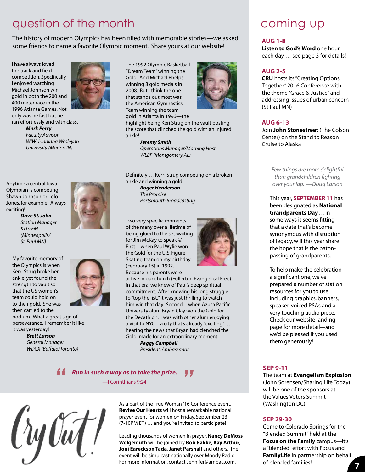# question of the month

The history of modern Olympics has been filled with memorable stories—we asked some friends to name a favorite Olympic moment. Share yours at our website!

I have always loved the track and field competition. Specifically, I enjoyed watching Michael Johnson win gold in both the 200 and 400 meter race in the 1996 Atlanta Games. Not only was he fast but he



*WIWU-Indiana Wesleyan University (Marion IN)*

Anytime a central Iowa Olympian is competing: Shawn Johnson or Lolo Jones, for example. Always exciting!

*Dave St. John Station Manager KTIS-FM (Minneapolis/ St. Paul MN)*

My favorite memory of the Olympics is when Kerri Strug broke her ankle, yet found the strength to vault so that the US women's team could hold on to their gold. She was then carried to the

podium. What a great sign of perseverance. I remember it like it was yesterday!

> *Brett Larson General Manager WDCX (Buffalo/Toronto)*



The 1992 Olympic Basketball "Dream Team" winning the Gold. And Michael Phelps winning 8 gold medals in 2008. But I think the one that stands out most was the American Gymnastics Team winning the team gold in Atlanta in 1996—the



highlight being Keri Strug on the vault posting the score that clinched the gold with an injured ankle!

*Jeremy Smith*

*Operations Manager/Morning Host WLBF (Montgomery AL)* 

Definitely … Kerri Strug competing on a broken ankle and winning a gold!

*Roger Henderson The Promise Portsmouth Broadcasting*

Two very specific moments of the many over a lifetime of being glued to the set waiting for Jim McKay to speak  $\odot$ . First—when Paul Wylie won the Gold for the U.S. Figure Skating team on my birthday (February 15) in 1992. Because his parents were



active in our church (Fullerton Evangelical Free) in that era, we knew of Paul's deep spiritual commitment. After knowing his long struggle to "top the list," it was just thrilling to watch him win that day. Second—when Azusa Pacific University alum Bryan Clay won the Gold for the Decathlon. I was with other alum enjoying a visit to NYC—a city that's already "exciting" … hearing the news that Bryan had clenched the Gold made for an extraordinary moment.

*Peggy Campbell President, Ambassador*

*Run in such a way as to take the prize. "* —I Corinthians 9:24



As a part of the True Woman '16 Conference event, **Revive Our Hearts** will host a remarkable national prayer event for women on Friday, September 23 (7-10PM ET) … and you're invited to participate!

Leading thousands of women in prayer, **Nancy DeMoss Wolgemuth** will be joined by **Bob Bakke**, **Kay Arthur**, **Joni Eareckson Tada**, **Janet Parshall** and others. The event will be simulcast nationally over Moody Radio. For more information, contact Jennifer@ambaa.com.

# coming up

#### **AUG 1-8**

**Listen to God's Word** one hour each day … see page 3 for details!

#### **AUG 2-5**

**CRU** hosts its "Creating Options Together" 2016 Conference with the theme "Grace & Justice" and addressing issues of urban concern (St Paul MN)

#### **AUG 6-13**

Join **John Stonestreet** (The Colson Center) on the Stand to Reason Cruise to Alaska

> *Few things are more delightful than grandchildren fighting over your lap. —Doug Larson*

This year, **SEPTEMBER 11** has been designated as **National Grandparents Day** . . . in some ways it seems fitting that a date that's become synonymous with disruption of legacy, will this year share the hope that is the batonpassing of grandparents.

To help make the celebration a significant one, we've prepared a number of station resources for you to use including graphics, banners, speaker-voiced PSAs and a very touching audio piece. Check our website landing page for more detail—and we'd be pleased if you used them generously!

#### **SEP 9-11**

The team at **Evangelism Explosion**  (John Sorensen/Sharing Life Today) will be one of the sponsors at the Values Voters Summit (Washington DC).

#### **SEP 29-30**

Come to Colorado Springs for the "Blended Summit" held at the **Focus on the Family** campus—it's a "blended" effort with Focus and **FamilyLife** in partnership on behalf of blended families!

**7**

**7**